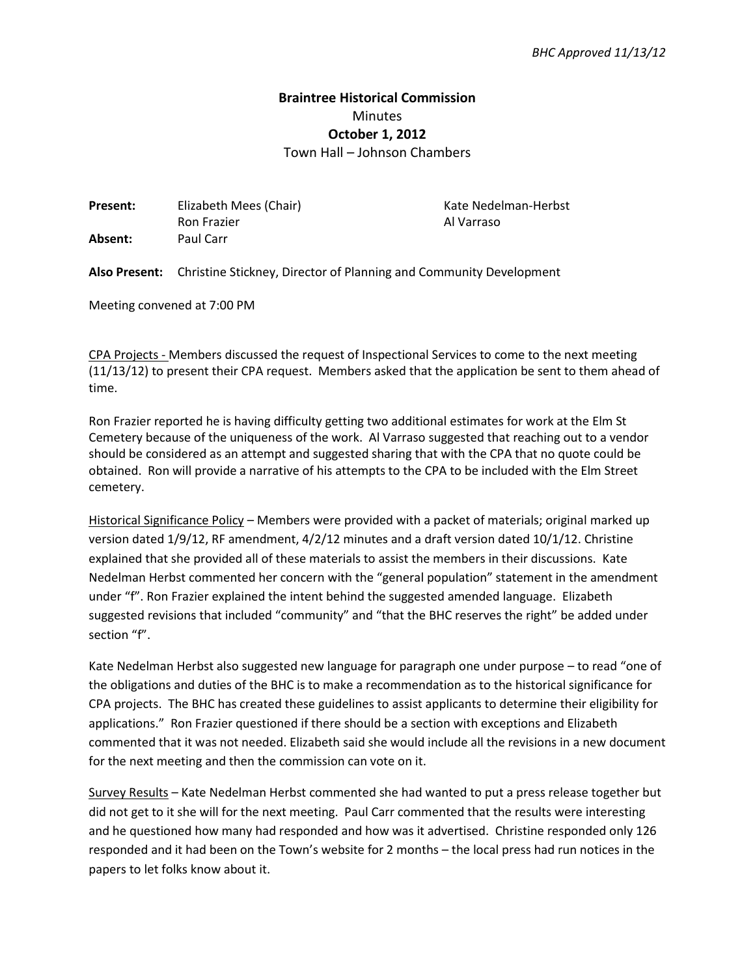## **Braintree Historical Commission**  Minutes **October 1, 2012**

Town Hall – Johnson Chambers

| <b>Present:</b> | Elizabeth Mees (Chair) | Kate Nedelman-Herbst |
|-----------------|------------------------|----------------------|
|                 | Ron Frazier            | Al Varraso           |
| Absent:         | Paul Carr              |                      |

**Also Present:** Christine Stickney, Director of Planning and Community Development

Meeting convened at 7:00 PM

CPA Projects - Members discussed the request of Inspectional Services to come to the next meeting (11/13/12) to present their CPA request. Members asked that the application be sent to them ahead of time.

Ron Frazier reported he is having difficulty getting two additional estimates for work at the Elm St Cemetery because of the uniqueness of the work. Al Varraso suggested that reaching out to a vendor should be considered as an attempt and suggested sharing that with the CPA that no quote could be obtained. Ron will provide a narrative of his attempts to the CPA to be included with the Elm Street cemetery.

Historical Significance Policy – Members were provided with a packet of materials; original marked up version dated 1/9/12, RF amendment, 4/2/12 minutes and a draft version dated 10/1/12. Christine explained that she provided all of these materials to assist the members in their discussions. Kate Nedelman Herbst commented her concern with the "general population" statement in the amendment under "f". Ron Frazier explained the intent behind the suggested amended language. Elizabeth suggested revisions that included "community" and "that the BHC reserves the right" be added under section "f".

Kate Nedelman Herbst also suggested new language for paragraph one under purpose – to read "one of the obligations and duties of the BHC is to make a recommendation as to the historical significance for CPA projects. The BHC has created these guidelines to assist applicants to determine their eligibility for applications." Ron Frazier questioned if there should be a section with exceptions and Elizabeth commented that it was not needed. Elizabeth said she would include all the revisions in a new document for the next meeting and then the commission can vote on it.

Survey Results – Kate Nedelman Herbst commented she had wanted to put a press release together but did not get to it she will for the next meeting. Paul Carr commented that the results were interesting and he questioned how many had responded and how was it advertised. Christine responded only 126 responded and it had been on the Town's website for 2 months – the local press had run notices in the papers to let folks know about it.